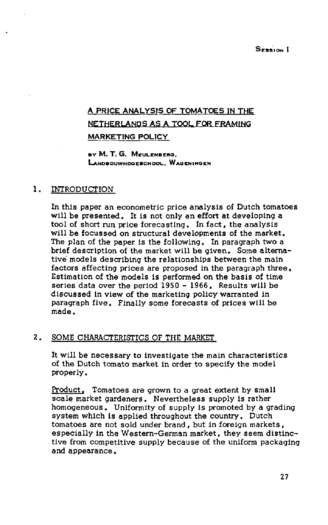# **A PRICE ANALYSIS OF TOMATOES IN THE NETHERLANDS AS A TOOL FOR FRAMING MARKETING POLICY**

**BV M . T . G. MeULENBERS, LANDBOUWHOGESCHOOL. WAGENINGEN** 

# 1. INTRODUCTION

In this paper an econometric price analysis of Dutch tomatoes will be presented. It is not only an effort at developing a tool of short run price forecasting. In fact, the analysis will be focussed on structural developments of the market. The plan of the paper is the following. In paragraph two a brief description of the market will be given. Some alternative models describing the relationships between the main factors affecting prices are proposed in the paragraph three. Estimation of the models is performed on the basis of time series data over the period 1950 - 1966. Results will be discussed in view of the marketing policy warranted in paragraph five. Finally some forecasts of prices will be made.

# 2. SOME CHARACTERISTICS OF THE MARKET

It will be necessary to investigate the main characteristics of the Dutch tomato market in order to specify the model properly.

Product. Tomatoes are grown to a great extent by small scale market gardeners. Nevertheless supply is rather homogeneous. Uniformity of supply is promoted by a grading system which is applied throughout the country. Dutch tomatoes are not sold under brand, but in foreign markets, especially in the Western-German market, they seem distinctive from competitive supply because of the uniform packaging and appearance.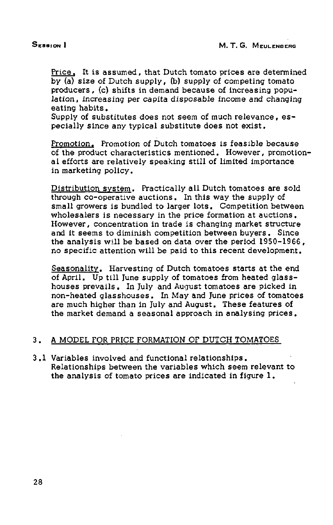Price. It is assumed, that Dutch tomato prices are determined by (a) size of Dutch supply, (b) supply of competing tomato producers, (c) shifts in demand because of increasing population, increasing per capita disposable income and changing eating habits.

Supply of substitutes does not seem of much relevance, especially since any typical substitute does not exist.

Promotion. Promotion of Dutch tomatoes is feasible because of the product characteristics mentioned. However, promotional efforts are relatively speaking still of limited importance in marketing policy.

Distribution system. Practically all Dutch tomatoes are sold through co-operative auctions. In this way the supply of small growers is bundled to larger lots. Competition between wholesalers is necessary in the price formation at auctions. However, concentration in trade is changing market structure and it seems to diminish competition between buyers. Since the analysis will be based on data over the period 1950-1966, no specific attention will be paid to this recent development.

Seasonality. Harvesting of Dutch tomatoes starts at the end of April. Up till June supply of tomatoes from heated glasshouses prevails. In July and August tomatoes are picked in non-heated glasshouses. In May and June prices of tomatoes are much higher than in July and August. These features of the market demand a seasonal approach in analysing prices.

# 3 . A MODEL FOR PRICE FORMATION OF DUTCH TOMATOES

3.1 Variables involved and functional relationships. Relationships between the variables which seem relevant to the analysis of tomato prices are indicated in figure 1.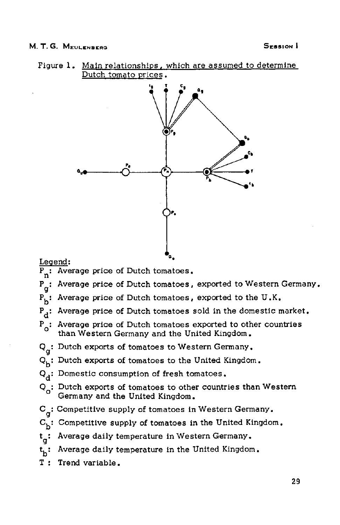



Legend;

- $\overline{P_n}$ : Average price of Dutch tomatoes.
- $P_{\alpha}$ : Average price of Dutch tomatoes, exported to Western Germany.
- $P_k$ : Average price of Dutch tomatoes, exported to the U.K.
- $P_A$ : Average price of Dutch tomatoes sold in the domestic market.
- $P_{\sim}$ : Average price of Dutch tomatoes exported to other countries than Western Germany and the United Kingdom.
- $Q_{\alpha}$ : Dutch exports of tomatoes to Western Germany.
- $Q_k$ : Dutch exports of tomatoes to the United Kingdom.
- $Q_A$ : Domestic consumption of fresh tomatoes.
- Q<sub>c</sub>: Dutch exports of tomatoes to other countries than Western Germany and the United Kingdom.
- $C_{\sigma}$ : Competitive supply of tomatoes in Western Germany.
- $C_{\rm b}$ : Competitive supply of tomatoes in the United Kingdom.
- Average daily temperature in Western Germany.  $t_{\alpha}$ :
- Average daily temperature in the United Kingdom.  $\mathfrak{t}$  :
- T: Trend variable.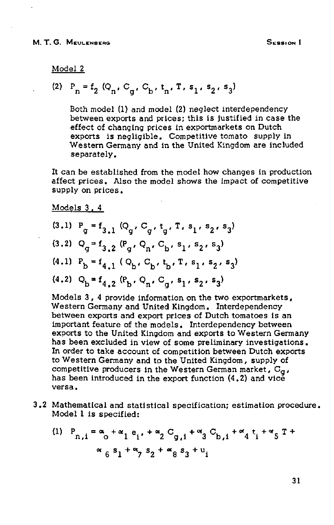### Model 2

(2) 
$$
P_n = f_2(Q_n, C_g, C_b, t_n, T, s_1, s_2, s_3)
$$

Both model (1) and model (2) neglect interdependency between exports and prices; this is justified in case the effect of changing prices in exportmarkets on Dutch exports is negligible. Competitive tomato supply in Western Germany and in the United Kingdom are included separately.

It can be established from the model how changes in production affect prices. Also the model shows the impact of competitive supply on prices.

Models 3 , 4

| $(3\,.\,1)\  \  \, {\sf P}_{\sf g}={\sf f}_{3\,,\,1}\,\,({\sf Q}_{\sf g}\,,\;{\sf C}_{\sf g}\,,\;{\sf t}_{\sf g}\,,\;{\sf T}\,,\;{\sf s}_1\,,\;{\sf s}_2\,,\;{\sf s}_3)$ |
|--------------------------------------------------------------------------------------------------------------------------------------------------------------------------|
| (3.2) $Q_g = f_{3,2} (P_g, Q_n, C_b, s_1, s_2, s_3)$                                                                                                                     |
| $(4.1) \ \ P_{\rm b} = {\rm f}_{4.1} \ (\ {\rm Q}_{\rm b},\ {\rm C}_{\rm b},\ {\rm t}_{\rm b},\ {\rm T},\ {\rm s}_1,\ {\rm s}_2,\ {\rm s}_3)$                            |
| (4.2) $Q_b = f_{4,2} (P_b, Q_n, C_g, s_1, s_2, s_3)$                                                                                                                     |

Models 3 , 4 provide information on the two exportmarkets , Western Germany and United Kingdom. Interdependency between exports and export prices of Dutch tomatoes is an important feature of the models. Interdependency between exports to the United Kingdom and exports to Western Germany has been excluded in view of some preliminary investigations. In order to take account of competition between Dutch exports to Western Germany and to the United Kingdom, supply of competitive producers in the Western German market,  $C_{\sigma}$ , has been introduced in the export function  $(4, 2)$  and vice versa .

3.2 Mathematical and statistica l specification; estimation procedure, Model 1 is specified:

( 1 ) P n ,i = W o + a ' l <sup>e</sup> i ' + W 2 C g,i + O ' 3 <sup>C</sup> b , i + 0 ' 4 <sup>t</sup> i + a ' 5 T + ° 6 S 1 +0I 7 S 2 + 0< 8 S 3 + U i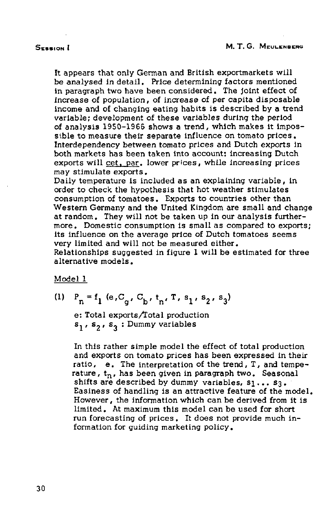### **SESSION**

It appears that only German and British exportmarkets will be analysed in detail. Price determining factors mentioned in paragraph two have been considered. The Joint effect of increase of population, of increase of per capita disposable income and of changing eating habits is described by a trend variable; development of these variables during the period of analysis 1950-1966 shows a trend, which makes it impossible to measure their separate influence on tomato prices. Interdependency between tomato prices and Dutch exports in both markets has been taken into account: increasing Dutch exports will cet, par, lower prices, while increasing prices may stimulate exports.

Daily temperature is included as an explaining variable, in order to check the hypothesis that hot weather stimulates consumption of tomatoes. Exports to countries other than Western Germany and the United Kingdom are small and change at random. They will not be taken up in our analysis furthermore. Domestic consumption is small as compared to exports; its influence on the average price of Dutch tomatoes seems very limited and will not be measured either.

Relationships suggested in figure 1 will be estimated for three alternative models.

### Model 1

(1)  $P_n = f_1$  (e,C<sub>a</sub>, C<sub>b</sub>, t<sub>n</sub>, T, s<sub>1</sub>, s<sub>2</sub>, s<sub>3</sub>

e: Total exports/Total production  $s_1$ ,  $s_2$ ,  $s_3$ : Dummy variables

In this rather simple model the effect of total production and exports on tomato prices has been expressed in their ratio,  $e_i$ . The interpretation of the trend,  $T$ , and temperature,  $t_n$ , has been given in paragraph two. Seasonal shifts are described by dummy variables,  $s_1 \ldots s_3$ . Easiness of handling is an attractive feature of the model. However, the information which can be derived from it is limited. At maximum this model can be used for short run forecasting of prices. It does not provide much information for guiding marketing policy.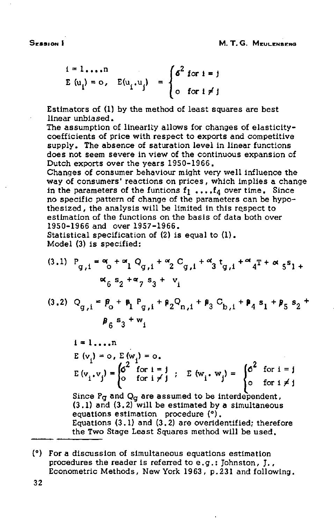SESSION I

$$
i = 1 \dots n
$$
  
\n
$$
E(u_i) = 0, \quad E(u_i, u_j) = \begin{cases} 6^2 \text{ for } i = j \\ 0 \text{ for } i \neq j \end{cases}
$$

Estimators of (1) by the method of least squares are best linear unbiased.

The assumption of linearity allows for changes of elasticitycoefficients of price with respect to exports and competitive supply. The absence of saturation level in linear functions does not seem severe in view of the continuous expansion of Dutch exports over the years 1950-1966.

Changes of consumer behaviour might very well influence the way of consumers' reactions on prices, which implies a change in the parameters of the funtions  $f_1$  ....  $f_4$  over time. Since no specific pattern of change of the parameters can be hypothesized, the analysis will be limited in this respect to estimation of the functions on the basis of data both over 1950-1966 and over 1957-1966.

Statistical specification of  $(2)$  is equal to  $(1)$ . Model (3) is specified:

 $(3.1)$   $P^{\text{}}_{q,i} = \alpha^{\text{}}_{0} + \alpha^{\text{}}_{1} Q^{\text{}}_{q,i} + \alpha^{\text{}}_{2} C^{\text{}}_{q,i} + \alpha^{\text{}}_{3} t^{\text{}}_{q,i} + \alpha^{\text{}}_{4} T + \alpha^{\text{}}_{3}$  $-6$   $-2$   $-7$   $-3$   $-$ 

 $(3.2)$  Q<sub>g,i</sub> =  $P_0$  +  $P_1$   $P_{g,i}$  +  $P_2$  $P_{n,i}$  +  $P_3$   $P_{b,i}$  +  $P_4$  s<sub>1</sub> +  $P_5$  $P_6$   $S_3$   $+$  W

$$
i = 1 \dots n
$$
  
\n
$$
E(v_i) = 0, E(w_i) = 0.
$$
  
\n
$$
E(v_i \cdot v_j) = \begin{cases} 6^2 & \text{for } i = j \\ 0 & \text{for } i \neq j \end{cases}; E(w_i, w_j) = \begin{cases} 6^2 & \text{for } i = j \\ 0 & \text{for } i \neq j \end{cases}
$$

Since  $P$ g and  $Q$ g are assumed to be interdependent,  $\Omega$  and  $\Omega$  and  $\Omega$  and  $\Omega$  and  $\Omega$  $(3.1)$  and  $(3.2)$  will be estimated by a simultaneous equations estimation procedure (°). Equations (3.1) and (3.2) are overidentified; therefore the Two Stage Least Squares method will be used.

<sup>(°)</sup> For a discussion of simultaneous equations estimation procedures the reader is referred to e.g.: Johnston, J. , Econometric Methods, New York 1963, p.231 and following.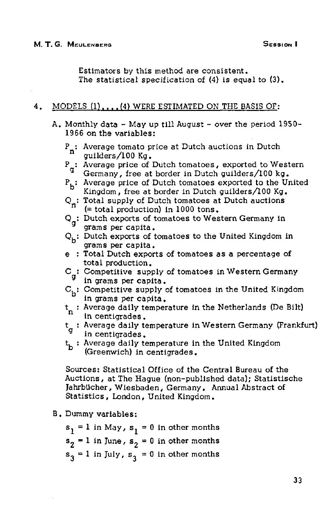Estimators by this method are consistent. The statistical specification of  $(4)$  is equal to  $(3)$ ,

# 4. MODELS (1), ... (4) WERE ESTIMATED ON THE BASIS OF:

- A. Monthly data May up till August over the period 1950- 1966 on the variables:
	- P : Average tomato price at Dutch auctions in D<br>- n = quilders /100 Kq guilders/100 Kg.
	- $P_{\alpha}$ : Average price of Dutch tomatoes, exported to Western Germany, free at border in Dutch guilders/100 kg .
	- P<sub>b</sub>: Average price of Dutch tomatoes exported to the United Kingdom, free at border in Dutch guilders/100 Kg.
	- $Q_n$ : Total supply of Dutch tomatoes at Dutch auctions  $($ = total production) in 1000 tons.
	- Q<sub>a</sub>: Dutch exports of tomatoes to Western Germany in grams per capita .
	- Q<sub>h</sub>: Dutch exports of tomatoes to the United Kingdom in grams per capita .
	- e : Total Dutch exports of tomatoes as a percentage of total production.
	- $C_{\alpha}$ : Competitive supply of tomatoes in Western Germany in grams per capita .
	- $C_{\mu}$ : Competitive supply of tomatoes in the United Kingdom in grams per capita ,
	- $t_n$ : Average daily temperature in the Netherlands (De Bilt) in centigrades.
	- $t_g$ : Average daily temperature in Western Germany (Frankfurt) in centigrades.
	- $t<sub>h</sub>$ : Average daily temperature in the United Kingdom (Greenwich) in centigrades.

Sources: Statistical Office of the Central Bureau of the Auctions, at The Hague (non-published data); Statistische Jahrbücher, Wiesbaden , Germany. Annual Abstract of Statistics, London, United Kingdom.

B. Dummy variables:

 $s_1 = 1$  in May,  $s_1 = 0$  in other months

- $s_2 = 1$  in June,  $s_2 = 0$  in other months
- $s_3 = 1$  in July,  $s_3 = 0$  in other months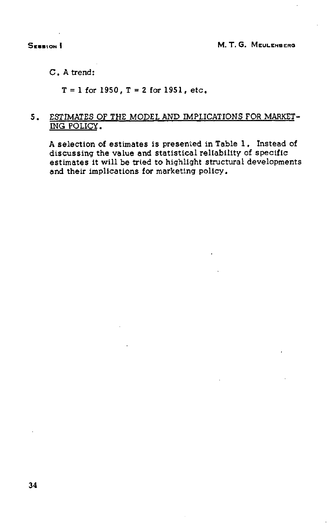C. A trend:

 $T = 1$  for 1950,  $T = 2$  for 1951, etc.

# 5. ESTIMATES OF THE MODEL AND IMPLICATIONS FOR MARKET-ING POLICY.

A selection of estimates is presented in Table 1. Instead of discussing the value and statistical reliability of specific estimates it will be tried to highlight structural developments and their implications for marketing policy.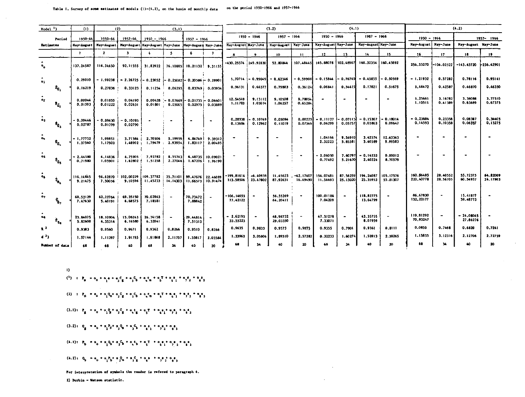**2) Durbin - Watson statistic.** 

 $\vert 1\rangle$ 

| $(4.2): Q_{b} = \alpha_{0} + \alpha_{1}P_{b} + \alpha_{2}Q_{b} + \alpha_{3}C_{b} + \alpha_{4}B + \alpha_{7}B + \alpha_{8}B$ |
|-----------------------------------------------------------------------------------------------------------------------------|
|                                                                                                                             |

 $(3.2)$ ;  $Q_g = a_o * a_1^p k^+ a_2^p a_1^+ a_3^c b_1^+ a_6^+ a_1^+ a_7^+ a_2^+ a_3^+$ 

| . |  |
|---|--|
|   |  |
|   |  |
|   |  |
|   |  |

(3,1): P<sub>g</sub> = a<sub>0</sub> + a<sub>1</sub>0<sub>k</sub>+ a<sub>2</sub>0g + a<sub>1</sub>t e s<sup>e</sup> + a<sup>1</sup>e = 1 \* a<sub>1</sub>e = 2 \* 1

 $\binom{1}{1}$  I  $P_n - a_0 + a_1 + a_2 C_8 + a_3 C_9 + a_4 C_9 + a_5 C_9 + a_6 C_1 + a_7 C_2$ 

 $(2)$  : P<sub>R</sub> =  $a_0 + a_1^0 Q_0 + a_2^0 Q_8 + a_3^0 Q_0 + a_4^1 Q_0 + a_5^2 T + a_6^2 T + a_7^3 T + a_8^4 T$ 

|  |  | $(4.1)$ : $P_b = a_0 + a_1 Q_b + a_2 C_b + a_4 C_b + a_5 T + a_6 T_1 + a_7 S_2 + a_8 S_3$ |  |  |
|--|--|-------------------------------------------------------------------------------------------|--|--|
|  |  |                                                                                           |  |  |

| Table 1. Survey of some estimates of models $(1)-(4,2)$ , on the basis of monthly data | on the period 1950-1966 and 1957-1966 |
|----------------------------------------------------------------------------------------|---------------------------------------|
|                                                                                        |                                       |

| Model <sup>1</sup> )                            | (1)                   |                         | (2)                             |                                                           | (3.1)                    |                                         |                     |                          |                        | (3.2)                 |                                |                                | (4.1)                 |                       |                                |                        |                      | (4.2)                   |                      |
|-------------------------------------------------|-----------------------|-------------------------|---------------------------------|-----------------------------------------------------------|--------------------------|-----------------------------------------|---------------------|--------------------------|------------------------|-----------------------|--------------------------------|--------------------------------|-----------------------|-----------------------|--------------------------------|------------------------|----------------------|-------------------------|----------------------|
|                                                 |                       |                         |                                 |                                                           |                          |                                         |                     |                          | $1950 - 1966$          | $1957 - 1966$         |                                | $1950 - 1966$                  |                       | $1957 - 1966$         |                                | 1950 - 1966            |                      |                         | 1957-1966            |
| Period<br><b>Retinates</b>                      | 1950-66<br>Hay-Angust | 1950-66<br>Hav-August   | 1957-66<br>May-August           | $1950 - 1966$<br>May-August May-June                      |                          | $1957 - 1966$<br>Hay-August Nay-June    |                     | Hay-August May-June      |                        | May-August   May-June |                                | May-Augusti Nay-June           |                       | May-August Hay-June   |                                | May-August             | May-June             | May-August Hay-June     |                      |
|                                                 | $\mathbf{r}$          | $\overline{\mathbf{z}}$ | -3                              | 4                                                         | $\mathbf{5}$             | -6                                      | $\mathbf{7}$        | 8                        | 9                      | 10                    | $\mathbf{H}$                   | 12                             | 13                    | 14                    | 15                             | 16                     | 17 <sub>1</sub>      | 18                      | 19 <sup>°</sup>      |
|                                                 | 137.24587             | 116.24650               | 92.11555                        | 31.83922                                                  | 76.10885                 | 10.21132; 9.31155                       |                     | -430.25574               | 249.92830              | 52.80844              |                                | 107.48445 165.88078            | 102.48967             | 160.32354             | 160.43892                      | 254.33270              |                      | -104.025221-143.43720   | $-236, 42901$        |
| $\alpha_1$<br>$\hat{\sigma}_{\rm{fr}_1}$        | 0.29010<br>0.16219    | - 1.99238<br>0.27836    | $-2.26725 - 0.23052$<br>0.33123 | 0.11234                                                   | 0.06295                  | $0.25082$ i - 0.20586 - 0.28901         | 0.03749: 0.03934    | 1,70714<br>0.96131       | - 0.99049∐<br>0.66377  | $-0.623.6$<br>0.79883 | 0.36124                        | $0.59908 - 0.15844$<br>0.06841 | - 0.767401<br>0.34415 | $-0.45855$<br>0.17821 | 0.50569<br>0.51675             | $-1,21932$<br>1.46472  | 0.57282<br>0.42587   | 0.70116<br>0.46870      | 0.95141<br>0.46330   |
| $\alpha_2$<br>$\mathbf{B}_{\mathbf{G}_2}$       | 0.00044<br>0.01593    | 0.01855<br>0.01222      | 0.04190<br>0.02631              |                                                           | $0.01801 \t 0.05005$     | $0.00428$ - 0.07669 - 0.01735 - 0.06601 | $0.02975$ $0.03889$ | 12.54549<br>1,11783      | 9.13112<br>1.03074     | 9.10508<br>1,06257    | 9.78054<br>0.65284             |                                |                       |                       |                                | 1,25661<br>1.10511     | 3.16782<br>0.41389   | 3.36088<br>0.63689      | 3.77510<br>0.67373   |
| $\mathbf{a}_3$<br>$\Phi_{\mathbf{\hat{g}}_{3}}$ | 0.09446<br>0.02787    | 0.09630<br>0.01799      | - 0.10785<br>0.02790            | $\bullet$                                                 | $\blacksquare$           | $\bullet$                               | $\bullet$           | 0.28338<br>0.13684       | 0.10749<br>0.12962     | 0.05094<br>0.11019    | 0.00225<br>0.07546             | $-0.11127$<br>0.06299          | - 0.07115<br>0.05757  | $-0.15307$<br>0.03803 | $-0.18014$<br>0.09647          | $-0,23884$<br>0.14593  | 0.23358<br>0.10358   | 0.08387<br>0.06337      | 0.34405<br>0.13275   |
| $\boldsymbol{\theta}_{\widehat{\alpha}_{k}}$    | - 1,77732<br>1,37560  | 1.99851<br>1.17503      | 3.71384                         | 2.70506<br>$1,48902$ ; 1,79679 : 2.93954                  | 5.19959                  | 4.84749<br>1.83117                      | 9.39312<br>2.00495  | $\bullet$                | $\blacksquare$         |                       | $\bullet$                      | 1.04166<br>2.32223             | 9.54910<br>5.85581    | 3.42574<br>3.40589    | 12.63343<br>9.99583            |                        |                      |                         |                      |
| as.<br>$\mathbf{a}_{\mathbf{s}}$                | - 2.44580<br>0.71980  | 4.14836<br>1.05901      | 4.75905<br>1.62802              | 7.92782<br>1,51258                                        | 8.55743<br>2.27046       | 6,48735<br>1.67206                      | 10.09021<br>1.96190 | $\overline{\phantom{a}}$ |                        |                       | $\blacksquare$                 | $-2.06050$<br>0.77492          | 7.60797<br>5.21670    | $-0.16333$<br>2.40224 | 0.00012<br>8.70579             |                        |                      |                         |                      |
| $\mathbf{u}_6$<br>$\mathbf{\hat{a}_6}$          | 116.14845<br>9.21475  | 7.50056                 | 96.62870 102.00229<br>9.10596   | [109.37782   35.71101   99.47676   22.46089  <br>11.45233 |                          | 14.14303 11.66573 10.91474              |                     | -199,81614<br>113.58506  | $-6.40939$<br>23.47802 | 87.92631              | 11.45623 -42.17407<br>16.69490 | 154.07481<br>11.56693          | 87.56259<br>25.13020  | 194,24067             | 105.17576<br>25.35953 55.81307 | 160.56485<br>220,40778 | 28.40552<br>28.56705 | 55.72375<br>60.54937    | 64.22009<br>24.17903 |
| 0.7<br>$\hat{\mathbf{s}}_{\mathbf{a_2}}$        | 68.52129<br>7.47630   | 62,22764<br>5.40191     | 69.35150<br>6.68575             | 70.02863<br>7.18581                                       | $\overline{\phantom{a}}$ | 70.73472<br>7.88842                     |                     | -106.14653<br>77.42122   |                        | 56.55269<br>64,20411  | $\bullet$                      | 100,01186<br>7.04209           | $\bullet$             | 118.82775<br>13.64799 | $\bullet$                      | 86,67830<br>132, 22177 | ۰                    | 15.41877<br>38,48773    |                      |
| ag.<br>$s_{a_0}$                                | 23.84075<br>5,82600   | 18.10904<br>4.35314     | 15.08243<br>6.16580             | 26.74158<br>6.32041                                       | $\blacksquare$           | 29.44814<br>7,51313                     |                     | $-2.62193$<br>33.55223   | $\blacksquare$         | 48.98732<br>29.03350  | $\blacksquare$                 | 47.37278<br>7.33071            | $\bullet$             | 43.35755<br>6.07959   | $\overline{\phantom{a}}$       | 119.81292<br>70,93247  | $\sim$               | $-24.08045$<br>27.86276 | $\bullet$            |
| $\mathbf{r}^2$                                  | 0.9383                | 0.9560                  | 0.9671                          | 0.9362                                                    | 0.0266                   | 0.9510                                  | 0.8266              | 0.9635                   | 0.9833                 | 0.9573                | 0.9875                         | 0.9355                         | 0.7901                | 0.9361                | 0.8111                         | 0.0855<br>I. L5833     | 0.7668<br>3.12316    | 0.6820<br>2.12706       | 0.7241               |
| (2)                                             | 1.57144               | 1.11397                 | 1.91795                         | 1,91868                                                   | 2.11757                  | 1.55817                                 | 2.03584             | 1.33963                  | 3.05806                | 1,89510               | 2.57282                        | 0.32233                        | 1.60274               | 1,52813<br>40         | 2.38265                        | 68                     | 34                   | 40                      | 2.72759              |
| <b>Number of data</b>                           | 68                    | 68                      | 40                              | 68                                                        | 34                       | 40                                      | 20                  | 68                       | 34                     | 40                    | 20                             | 68                             | 34                    |                       | 20                             |                        |                      |                         | 20                   |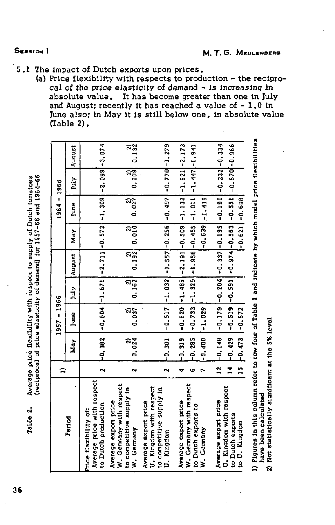**n** 

**iy** of Dutch tome

a a **3**  UI **O** 

4-» **O**  IV

CO **ü x :** 

4-» 'S 4-**>**» **.** 

**flexib** 

o

Average **p** 

**tl) 10 H** 

**Pect to**<br>demand

procal of

5 .1 The impact of Dutch exports upon prices.

(a) Price flexibility with respects to production - the reciprocal of the price *elasticity* of demand - is increasing in absolute value. It has become greater than one in July and August; recently it has reached a value of - 1.0 in June also; in May it is still below one, in absolute value (Table 2).

|                                                                                                        | ።                    |                                            | $1957 - 1966$                                                                                                                                                     |     |        |                    | 1964 - 1966 |                 |        |
|--------------------------------------------------------------------------------------------------------|----------------------|--------------------------------------------|-------------------------------------------------------------------------------------------------------------------------------------------------------------------|-----|--------|--------------------|-------------|-----------------|--------|
| Period                                                                                                 |                      | <b>May</b>                                 | June                                                                                                                                                              | ìuy | August | May                | June        | July            | August |
| Average price with respect<br>to Dutch production<br>Price flexibility of:                             | $\ddot{\phantom{0}}$ |                                            | $-0.382$ $-0.804$ $-1.671$ $-2.711$ $-0.572$ $-1.309$ $-2.099$ $-3.074$                                                                                           |     |        |                    |             |                 |        |
| W. Germany with respect<br>to competitive supply in<br>Average export price<br>W. Germany              | $\ddot{\phantom{1}}$ | 0.024                                      |                                                                                                                                                                   |     |        |                    |             |                 |        |
| U. Kingdom with respect<br>to competitive supply in<br>Average export price<br>U. Kingdom              | $\ddot{\phantom{1}}$ |                                            | $\begin{bmatrix} -0.301 & -0.517 & -1.032 & -1.557 & -0.256 & -0.497 & -0.770 & -1.279 \end{bmatrix}$                                                             |     |        |                    |             |                 |        |
| W. Germany with respect<br>Average export price<br>to Dutch exports to<br>W. Germany                   |                      | $-0.400$ $[-1.029$<br>$+0.285$<br>$-0.319$ | $-0.820$ $-1.489$ $-2.191$ $-0.509$ $-1.132$ $-1.621$ $-2.173$<br>$\left[-0.733 \left[-1.329\right]+1.956\right]-0.455\right] - 1.011\left[-1.447\right] - 1.941$ |     |        | $-0.639[-1.419]$   |             |                 |        |
| U. Kingdom with respect<br>Average export price<br>to Dutch exports<br>to U. Kingdom                   |                      | $15 + 0.473 - 0.572$                       | 12 -0.148 -0.179 -0.337 -0.337 -0.195 -0.190 -0.232 -0.334<br>$\begin{bmatrix} 14 & -0.429 & -0.519 & -0.501 & -0.503 & -0.563 & -0.551 \end{bmatrix}$            |     |        | $[-0.621] - 0.608$ |             | $-0.670[-0.966$ |        |
| 1) Figures in this column refer to row four of Table 1 and indicate by which model price flexibilities |                      |                                            |                                                                                                                                                                   |     |        |                    |             |                 |        |

**<** 

**cu o •c o.**  'S **x; o It**  'S **10 X) 10 H**  5 **eu**   $\sum_{i=1}^{\infty}$ « S £ ä 12 명<br>12 명 **res in this c**<br>• been calcu<br>statistically **3 ® ^ ^ €** -44 (0 J <sup>r</sup> **u, x; 2** 

•M •4H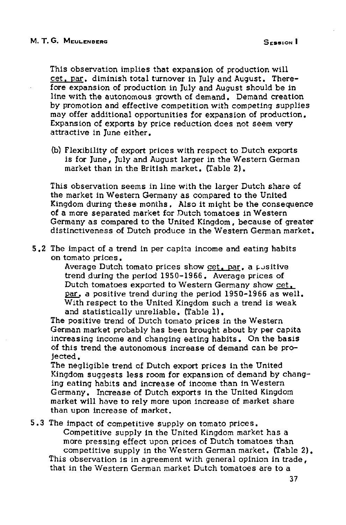This observation implies that expansion of production will cet, par, diminish total turnover in July and August. Therefore expansion of production in July and August should be in line with the autonomous growth of demand. Demand creation by promotion and effective competition with competing supplies may offer additional opportunities for expansion of production. Expansion of exports by price reduction does not seem very attractive in June either.

(b) Flexibility of export prices with respect to Dutch exports is for June, July and August larger in the Western German market than in the British market. (Table 2).

This observation seems in line with the larger Dutch share of the market in Western Germany as compared to the United Kingdom during these months. Also it might be the consequence of a more separated market for Dutch tomatoes in Western Germany as compared to the United Kingdom, because of greater distinctiveness of Dutch produce in the Western German market.

5.2 The impact of a trend in per capita income and eating habits on tomato prices.

> Average Dutch tomato prices show cet. par, a positive trend during the period 1950-1966. Average prices of Dutch tomatoes exported to Western Germany show cet, par, a positive trend during the period 1950-1966 as well. With respect to the United Kingdom such a trend is weak and statistically unreliable. (Table 1).

The positive trend of Dutch tomato prices in the Western German market probably has been brought about by per capita increasing income and changing eating habits. On the basis of this trend the autonomous increase of demand can be prolected.

The negligible trend of Dutch export prices in the United Kingdom suggests less room for expansion of demand by changing eating habits and increase of income than in Western Germany. Increase of Dutch exports in the United Kingdom market will have to rely more upon increase of market share than upon increase of market.

5.3 The impact of competitive supply on tomato prices.

Competitive supply in the United Kingdom market has a more pressing effect upon prices of Dutch tomatoes than competitive supply in the Western German market. (Table 2). This observation is in agreement with general opinion in trade, that in the Western German market Dutch tomatoes are to a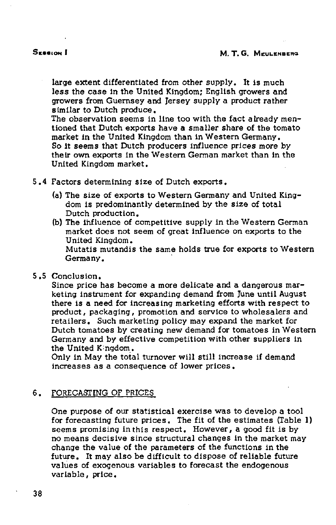large extent differentiated from other supply. It is much less the case in the United Kingdom; English growers and growers from Guernsey and Jersey supply a product rather similar to Dutch produce.

The observation seems in line too with the fact already mentioned that Dutch exports have a smaller share of the tomato market in the United Kingdom than in Western Germany. So it seems that Dutch producers influence prices more by their own exports in the Western German market than in the United Kingdom market.

- 5.4 Factors determining size of Dutch exports.
	- (a) The size of exports to Western Germany and United Kingdom is predominantly determined by the size of total Dutch production.
	- (b) The influence of competitive supply in the Western German market does not seem of great influence on exports to the United Kingdom.

Mutatis mutandis the same holds true for exports to Western Germany.

# 5.5 Conclusion.

Since price has become a more delicate and a dangerous marketing instrument for expanding demand from June until August there is a need for increasing marketing efforts with respect to product, packaging, promotion and service to wholesalers and retailers. Such marketing policy may expand the market for Dutch tomatoes by creating new demand for tomatoes in Western Germany and by effective competition with other suppliers in the United K:ngdom.

Only in May the total turnover will still increase if demand increases as a consequence of lower prices.

# 6. FORECASTING OF PRICES

One purpose of our statistical exercise was to develop a tool for forecasting future prices. The fit of the estimates (Table 1) seems promising in this respect. However, a good fit is by no means decisive since structural changes in the market may change the value of the parameters of the functions in the future. It may also be difficult to dispose of reliable future values of exogenous variables to forecast the endogenous variable, price.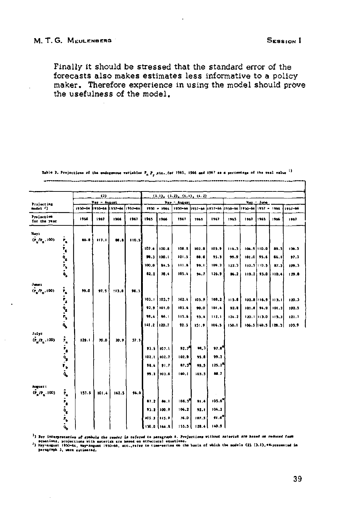Finally it should be stressed that the standard error of the forecasts also makes estimates less informative to a policy maker. Therefore experience in using the model should prove the usefulness of the model.

|                                            |                          |         | (2)          |                             |       |       |               | $(3,1)$ , $(3,2)$ , $(4,1)$ , $(4,2)$ |                 |                   |         |             |              |       |             |
|--------------------------------------------|--------------------------|---------|--------------|-----------------------------|-------|-------|---------------|---------------------------------------|-----------------|-------------------|---------|-------------|--------------|-------|-------------|
| <b>Projecting</b>                          |                          |         | May - August |                             |       |       |               | Nay - August                          |                 |                   |         |             | Kay - June   |       |             |
| Model <sup>4</sup>                         |                          | 1950-64 |              | i 950-66 h 957-64   1957-66 |       |       | $1950 - 1964$ | 1950-64                               | 1957-64 1957-66 |                   | 1950-64 | 1950-66     | 1957 - 1964  |       | $1957 - 66$ |
| Projection<br>for the year                 |                          | 1966    | 1967         | 1966                        | 1967  | 1965  | 1966          | 1967                                  | 1965            | 1967              | 1965    | 1967        | 1965         | 1966  | 1967        |
| Nay 1<br>$(\mathbf{P}_n/\mathbf{P}_n,100)$ | ۴,                       | 89. O   | 117.1        | 88.8                        | 110.5 |       |               |                                       |                 |                   |         |             |              |       |             |
|                                            |                          |         |              |                             |       | 10.16 | 100.8         | 100,0                                 | 102.8           | 105.9             | 116.3   | 104.9 110.0 |              | 89.5  | 106.5       |
|                                            | <b>A. P. P. P. P. P.</b> |         |              |                             |       | 50.3  | 100.1         | 101.5                                 | 88.6            | 95.3              | 99.9    |             | $101.0$ 95.6 | 86.1  | 97.3        |
|                                            |                          |         |              |                             |       | 100.0 | 94.5          | 111.8                                 | 99.1            | 109.2             | 122.3   | 110.51110.5 |              | 87.3  | 109.3       |
|                                            |                          |         |              |                             |       | 82.2  | 78.6          | 105.4                                 | 34.7            | 126.9             | 86.2    |             | 119.2 93.0   | 110.4 | 129.8       |
| June 1                                     |                          |         |              |                             |       |       |               |                                       |                 |                   |         |             |              |       |             |
| $(\hat{P}_{n}/P_{n}$ (00)                  | î,                       | 99.0    | 97.5         | 113.0                       | 96.3  |       |               |                                       |                 |                   |         |             |              |       |             |
|                                            |                          |         |              |                             |       | 103.1 | 103.7         | 102.4                                 | 105.9           | 108,2             | 115.8   |             | 102.8 116.9  | 113.1 | 129.3       |
|                                            |                          |         |              |                             |       | 92.9  | 101.0         | 103.6                                 | 90.0            | 101.4             | 92.8    |             | $101.0$ 94.9 | 101.2 | 102.5       |
|                                            | ده اس در اس در اس        |         |              |                             |       | 90.4  | 96.1          | 115.6                                 | 95.4            | 112.1             | 124.2   |             | 120.11113.0  | 115.3 | 121.1       |
|                                            |                          |         |              |                             |       | 141.2 | 120.7         | 92.5                                  | 151.9           | 106.5             | 150.1   | 106.5 140.5 |              | 128.3 | 103.9       |
| Julys                                      |                          |         |              |                             |       |       |               |                                       |                 |                   |         |             |              |       |             |
| $(P_n/P_n, 100)$                           | î,                       | 129.1   | 70.5         | 70.9                        | 57.5  |       |               |                                       |                 |                   |         |             |              |       |             |
|                                            | $\frac{1}{2}$            |         |              |                             |       | 93.5  | 107.1         | 32.7                                  | 98,3            | 97.07             |         |             |              |       |             |
|                                            |                          |         |              |                             |       | 102.1 | 102.7         | 102.9                                 | 95.8            | 99.3              |         |             |              |       |             |
|                                            |                          |         |              |                             |       | 94.4  | 91.7          | 87.37                                 | 99.5            | $125.2^2$         |         |             |              |       |             |
|                                            |                          |         |              |                             |       | 99.3  | 103.6         | 160.1                                 | 103.3           | 00.7              |         |             |              |       |             |
| August :<br>$(r_{\rm g}/r_{\rm g},100)$    | î,                       | 157.5   | 101.4        | 162.5                       | 96.0  |       |               |                                       |                 |                   |         |             |              |       |             |
|                                            |                          |         |              |                             |       | 17.2  | 86.1          | 108.3                                 | 91.4            | $105.6^*$         |         |             |              |       |             |
|                                            |                          |         |              |                             |       | 93.2  | 100.9         | 106.2                                 | 92.1            | 104.2             |         |             |              |       |             |
|                                            | <b>Properties</b>        |         |              |                             |       | 105.3 | 1115.9        | 76.0                                  | 107.3           | 91.6 <sup>2</sup> |         |             |              |       |             |
|                                            |                          |         |              |                             |       | 130,0 | 1164.8        | 155. V L                              | 120.4           | 140.9             |         |             |              |       |             |

**T.bl. 3. Projection, of th« «ndotsnou« «ri.hl. .** *TR f* **«tc.ro r 196S, 196« and 1967 . . . pcrcntag« of th« r«.I w.lu\*** 

\*) Por interprazazion of aymbole the reader is refered to paragraph 4. Projections without asterisk are based on reduca<br>\*) Squations, projections with asterisk are based on atructural equations.<br>\*) Paragraph 3, were estima